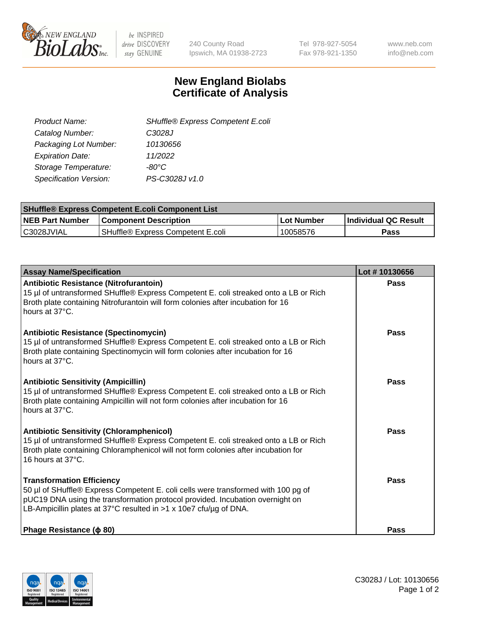

be INSPIRED drive DISCOVERY stay GENUINE

240 County Road Ipswich, MA 01938-2723 Tel 978-927-5054 Fax 978-921-1350 www.neb.com info@neb.com

## **New England Biolabs Certificate of Analysis**

| SHuffle® Express Competent E.coli |
|-----------------------------------|
| C3028J                            |
| 10130656                          |
| 11/2022                           |
| -80°C                             |
| PS-C3028J v1.0                    |
|                                   |

| <b>SHuffle® Express Competent E.coli Component List</b> |                                   |                   |                             |  |
|---------------------------------------------------------|-----------------------------------|-------------------|-----------------------------|--|
| <b>NEB Part Number</b>                                  | <b>Component Description</b>      | <b>Lot Number</b> | <b>Individual QC Result</b> |  |
| C3028JVIAL                                              | SHuffle® Express Competent E.coli | 10058576          | Pass                        |  |

| <b>Assay Name/Specification</b>                                                                                                                                                                                                                                             | Lot #10130656 |
|-----------------------------------------------------------------------------------------------------------------------------------------------------------------------------------------------------------------------------------------------------------------------------|---------------|
| Antibiotic Resistance (Nitrofurantoin)<br>15 µl of untransformed SHuffle® Express Competent E. coli streaked onto a LB or Rich<br>Broth plate containing Nitrofurantoin will form colonies after incubation for 16<br>hours at 37°C.                                        | Pass          |
| <b>Antibiotic Resistance (Spectinomycin)</b><br>15 µl of untransformed SHuffle® Express Competent E. coli streaked onto a LB or Rich<br>Broth plate containing Spectinomycin will form colonies after incubation for 16<br>hours at 37°C.                                   | Pass          |
| <b>Antibiotic Sensitivity (Ampicillin)</b><br>15 µl of untransformed SHuffle® Express Competent E. coli streaked onto a LB or Rich<br>Broth plate containing Ampicillin will not form colonies after incubation for 16<br>hours at 37°C.                                    | Pass          |
| <b>Antibiotic Sensitivity (Chloramphenicol)</b><br>15 µl of untransformed SHuffle® Express Competent E. coli streaked onto a LB or Rich<br>Broth plate containing Chloramphenicol will not form colonies after incubation for<br>16 hours at 37°C.                          | Pass          |
| <b>Transformation Efficiency</b><br>50 µl of SHuffle® Express Competent E. coli cells were transformed with 100 pg of<br>pUC19 DNA using the transformation protocol provided. Incubation overnight on<br>LB-Ampicillin plates at 37°C resulted in >1 x 10e7 cfu/µg of DNA. | Pass          |
| Phage Resistance ( $\phi$ 80)                                                                                                                                                                                                                                               | <b>Pass</b>   |